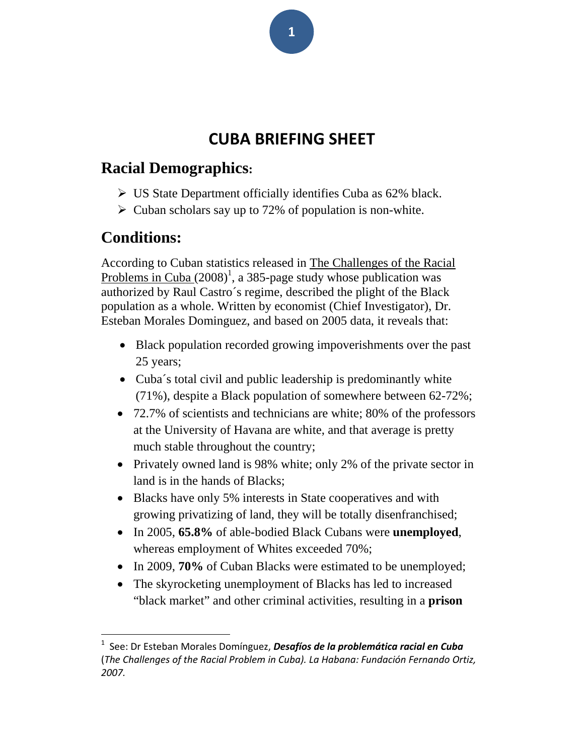# **CUBA BRIEFING SHEET**

## **Racial Demographics:**

- $\triangleright$  US State Department officially identifies Cuba as 62% black.
- $\triangleright$  Cuban scholars say up to 72% of population is non-white.

# **Conditions:**

According to Cuban statistics released in The Challenges of the Racial Problems in Cuba  $(2008)^1$ , a 385-page study whose publication was authorized by Raul Castro´s regime, described the plight of the Black population as a whole. Written by economist (Chief Investigator), Dr. Esteban Morales Dominguez, and based on 2005 data, it reveals that:

- Black population recorded growing impoverishments over the past 25 years;
- Cuba's total civil and public leadership is predominantly white (71%), despite a Black population of somewhere between 62-72%;
- 72.7% of scientists and technicians are white; 80% of the professors at the University of Havana are white, and that average is pretty much stable throughout the country;
- Privately owned land is 98% white; only 2% of the private sector in land is in the hands of Blacks;
- Blacks have only 5% interests in State cooperatives and with growing privatizing of land, they will be totally disenfranchised;
- In 2005, **65.8%** of able-bodied Black Cubans were **unemployed**, whereas employment of Whites exceeded 70%;
- In 2009, **70%** of Cuban Blacks were estimated to be unemployed;
- The skyrocketing unemployment of Blacks has led to increased "black market" and other criminal activities, resulting in a **prison**

**1**

<sup>1</sup> See: Dr Esteban Morales Domínguez, *Desafíos de la problemática racial en Cuba* (*The Challenges of the Racial Problem in Cuba). La Habana: Fundación Fernando Ortiz, 2007.*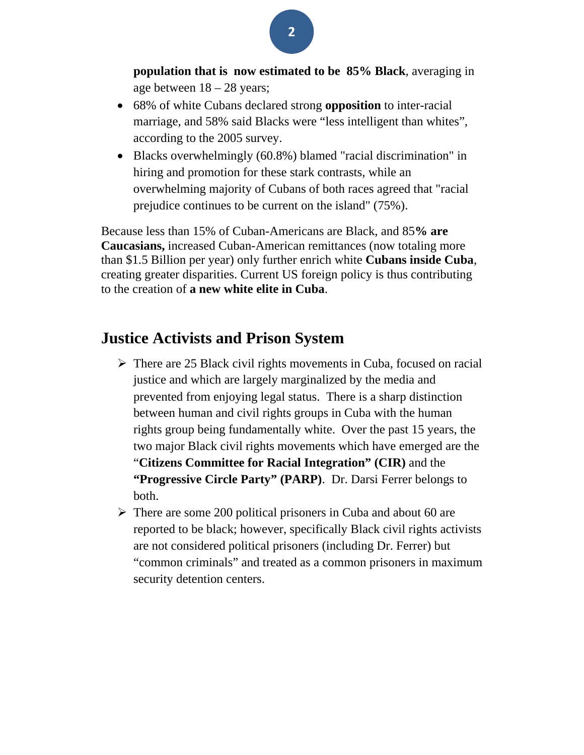

- 68% of white Cubans declared strong **opposition** to inter-racial marriage, and 58% said Blacks were "less intelligent than whites", according to the 2005 survey.
- Blacks overwhelmingly (60.8%) blamed "racial discrimination" in hiring and promotion for these stark contrasts, while an overwhelming majority of Cubans of both races agreed that "racial prejudice continues to be current on the island" (75%).

Because less than 15% of Cuban-Americans are Black, and 85**% are Caucasians,** increased Cuban-American remittances (now totaling more than \$1.5 Billion per year) only further enrich white **Cubans inside Cuba**, creating greater disparities. Current US foreign policy is thus contributing to the creation of **a new white elite in Cuba**.

#### **Justice Activists and Prison System**

- $\triangleright$  There are 25 Black civil rights movements in Cuba, focused on racial justice and which are largely marginalized by the media and prevented from enjoying legal status. There is a sharp distinction between human and civil rights groups in Cuba with the human rights group being fundamentally white. Over the past 15 years, the two major Black civil rights movements which have emerged are the "**Citizens Committee for Racial Integration" (CIR)** and the **"Progressive Circle Party" (PARP)**. Dr. Darsi Ferrer belongs to both.
- $\triangleright$  There are some 200 political prisoners in Cuba and about 60 are reported to be black; however, specifically Black civil rights activists are not considered political prisoners (including Dr. Ferrer) but "common criminals" and treated as a common prisoners in maximum security detention centers.

**2**